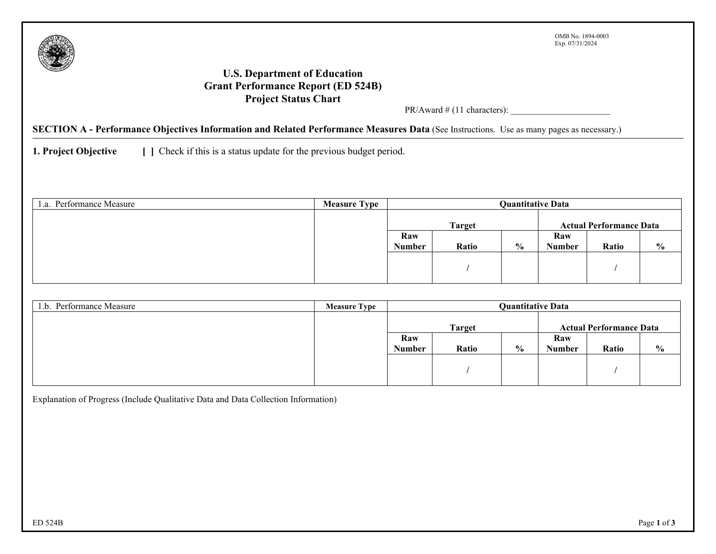

OMB No. 1894-0003 Exp. 07/31/2024

## **U.S. Department of Education Grant Performance Report (ED 524B) Project Status Chart**

PR/Award  $# (11 \text{ characters})$ :

#### **SECTION A - Performance Objectives Information and Related Performance Measures Data** (See Instructions. Use as many pages as necessary.)

**1. Project Objective** [ ] Check if this is a status update for the previous budget period.

| 1.a. Performance Measure | <b>Measure Type</b> | <b>Quantitative Data</b> |       |               |                      |                                |                |  |
|--------------------------|---------------------|--------------------------|-------|---------------|----------------------|--------------------------------|----------------|--|
|                          |                     | <b>Target</b>            |       |               |                      | <b>Actual Performance Data</b> |                |  |
|                          |                     | Raw<br><b>Number</b>     | Ratio | $\frac{0}{0}$ | Raw<br><b>Number</b> | Ratio                          | $\frac{6}{10}$ |  |
|                          |                     |                          |       |               |                      |                                |                |  |

| Performance Measure<br>1.b. | <b>Measure Type</b> | <b>Quantitative Data</b> |       |                |               |                                |               |  |
|-----------------------------|---------------------|--------------------------|-------|----------------|---------------|--------------------------------|---------------|--|
|                             |                     | <b>Target</b>            |       |                |               | <b>Actual Performance Data</b> |               |  |
|                             |                     | Raw                      |       |                | Raw           |                                |               |  |
|                             |                     | <b>Number</b>            | Ratio | $\frac{6}{10}$ | <b>Number</b> | Ratio                          | $\frac{0}{0}$ |  |
|                             |                     |                          |       |                |               |                                |               |  |
|                             |                     |                          |       |                |               |                                |               |  |
|                             |                     |                          |       |                |               |                                |               |  |

Explanation of Progress (Include Qualitative Data and Data Collection Information)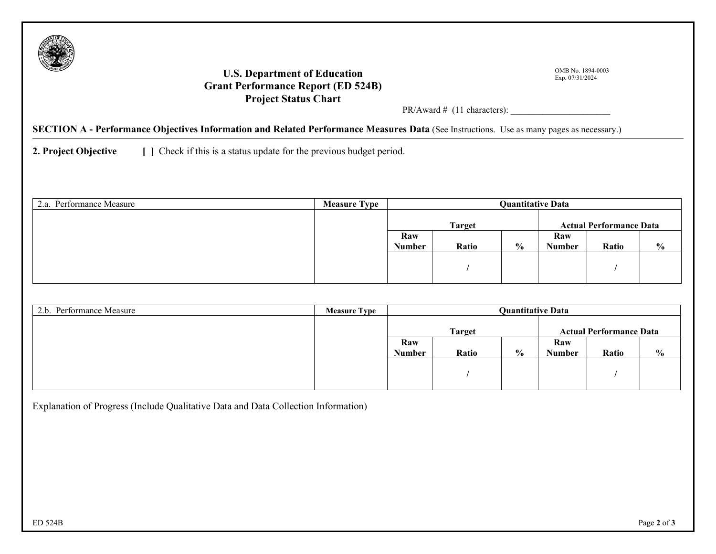

## **U.S. Department of Education Grant Performance Report (ED 524B) Project Status Chart**

OMB No. 1894-0003 Exp. 07/31/2024

PR/Award  $#$  (11 characters):  $\_$ 

# **SECTION A - Performance Objectives Information and Related Performance Measures Data** (See Instructions. Use as many pages as necessary.)

**2. Project Objective** [ ] Check if this is a status update for the previous budget period.

| 2.a. Performance Measure | <b>Measure Type</b> | <b>Quantitative Data</b> |       |               |                      |                                |               |  |
|--------------------------|---------------------|--------------------------|-------|---------------|----------------------|--------------------------------|---------------|--|
|                          |                     | <b>Target</b>            |       |               |                      | <b>Actual Performance Data</b> |               |  |
|                          |                     | Raw<br><b>Number</b>     | Ratio | $\frac{0}{0}$ | Raw<br><b>Number</b> | Ratio                          | $\frac{0}{0}$ |  |
|                          |                     |                          |       |               |                      |                                |               |  |

| 2.b. Performance Measure | <b>Measure Type</b> | <b>Quantitative Data</b> |       |               |                      |                                |               |  |  |
|--------------------------|---------------------|--------------------------|-------|---------------|----------------------|--------------------------------|---------------|--|--|
|                          |                     | <b>Target</b>            |       |               |                      | <b>Actual Performance Data</b> |               |  |  |
|                          |                     | Raw<br><b>Number</b>     | Ratio | $\frac{0}{0}$ | Raw<br><b>Number</b> | Ratio                          | $\frac{6}{6}$ |  |  |
|                          |                     |                          |       |               |                      |                                |               |  |  |

Explanation of Progress (Include Qualitative Data and Data Collection Information)